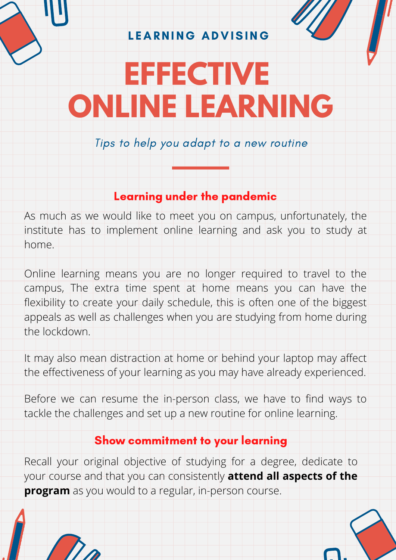LEARNING ADVISING

# **EFFECTIVE ONLINE LEARNING**

Tips to help you adapt to a new routine

#### Learning under the pandemic

As much as we would like to meet you on campus, unfortunately, the institute has to implement online learning and ask you to study at home.

Online learning means you are no longer required to travel to the campus, The extra time spent at home means you can have the flexibility to create your daily schedule, this is often one of the biggest appeals as well as challenges when you are studying from home during the lockdown.

It may also mean distraction at home or behind your laptop may affect the effectiveness of your learning as you may have already experienced.

Before we can resume the in-person class, we have to find ways to tackle the challenges and set up a new routine for online learning.

#### Show commitment to your learning

Recall your original objective of studying for a degree, dedicate to your course and that you can consistently **attend all aspects of the program** as you would to a regular, in-person course.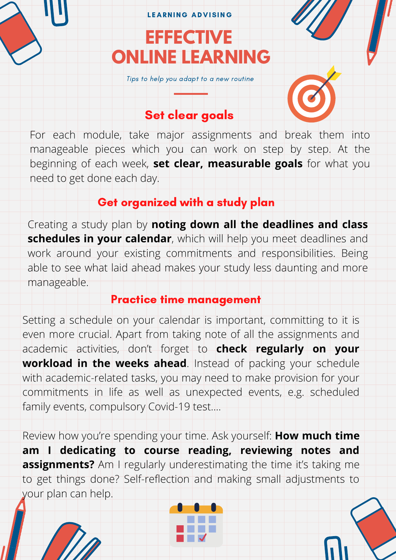#### LEARNING ADVISING

## **EFFECTIVE ONLINE LEARNING**

Tips to help you adapt to a new routine

#### Set clear goals

For each module, take major assignments and break them into manageable pieces which you can work on step by step. At the beginning of each week, **set clear, measurable goals** for what you need to get done each day.

#### Get organized with a study plan

Creating a study plan by **noting down all the deadlines and class schedules in your calendar**, which will help you meet deadlines and work around your existing commitments and responsibilities. Being able to see what laid ahead makes your study less daunting and more manageable.

#### Practice time management

Setting a schedule on your calendar is important, committing to it is even more crucial. Apart from taking note of all the assignments and academic activities, don't forget to **check regularly on your workload in the weeks ahead**. Instead of packing your schedule with academic-related tasks, you may need to make provision for your commitments in life as well as unexpected events, e.g. scheduled family events, compulsory Covid-19 test....

Review how you're spending your time. Ask yourself: **How much time am I dedicating to course reading, reviewing notes and assignments?** Am I regularly underestimating the time it's taking me to get things done? Self-reflection and making small adjustments to your plan can help.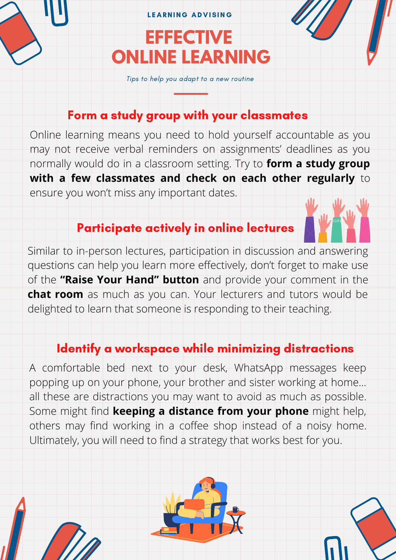## **EFFECTIVE ONLINE LEARNING** LEARNING ADVISING

Tips to help you adapt to a new routine

#### Form a study group with your classmates

Online learning means you need to hold yourself accountable as you may not receive verbal reminders on assignments' deadlines as you normally would do in a classroom setting. Try to **form a study group with a few classmates and check on each other regularly** to ensure you won't miss any important dates.

#### Participate actively in online lectures

Similar to in-person lectures, participation in discussion and answering questions can help you learn more effectively, don't forget to make use of the **"Raise Your Hand" button** and provide your comment in the **chat room** as much as you can. Your lecturers and tutors would be delighted to learn that someone is responding to their teaching.

#### Identify a workspace while minimizing distractions

A comfortable bed next to your desk, WhatsApp messages keep popping up on your phone, your brother and sister working at home… all these are distractions you may want to avoid as much as possible. Some might find **keeping a distance from your phone** might help, others may find working in a coffee shop instead of a noisy home. Ultimately, you will need to find a strategy that works best for you.